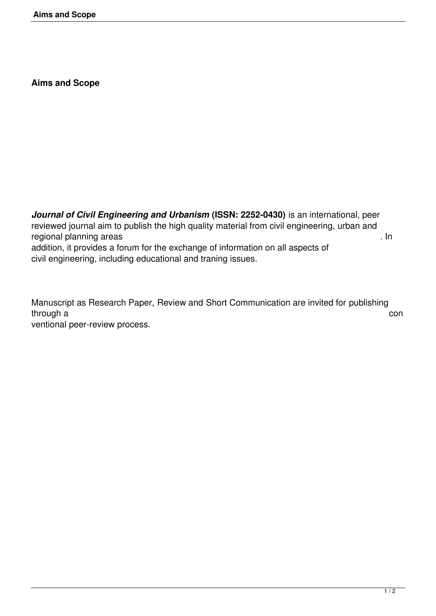**Aims and Scope**

*Journal of Civil Engineering and Urbanism* **(ISSN: 2252-0430)** is an international, peer reviewed journal aim to publish the high quality material from civil engineering, urban and regional planning areas . In addition, it provides a forum for the exchange of information on all aspects of civil engineering, including educational and traning issues.

Manuscript as Research Paper, Review and Short Communication are invited for publishing through a con ventional peer-review process.